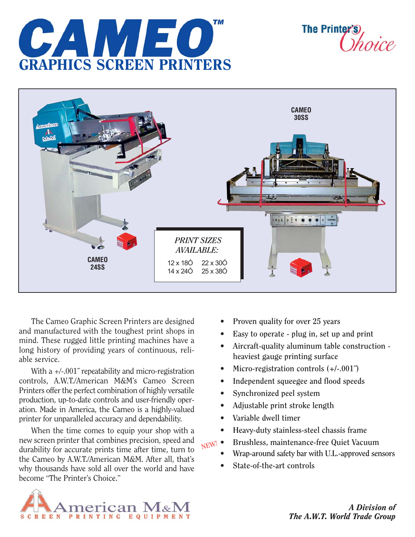

**The Printer** 



The Cameo Graphic Screen Printers are designed and manufactured with the toughest print shops in mind. These rugged little printing machines have a long history of providing years of continuous, reliable service.

With a  $+/-.001$ <sup>"</sup> repeatability and micro-registration controls, A.W.T./American M&M's Cameo Screen Printers offer the perfect combination of highly versatile production, up-to-date controls and user-friendly operation. Made in America, the Cameo is a highly-valued printer for unparalleled accuracy and dependability.

When the time comes to equip your shop with a new screen printer that combines precision, speed and durability for accurate prints time after time, turn to the Cameo by A.W.T./American M&M. After all, that's why thousands have sold all over the world and have become "The Printer's Choice."

- **Proven quality for over 25 years**
- **Easy to operate plug in, set up and print**
- **Aircraft-quality aluminum table construction heaviest gauge printing surface**
- **Micro-registration controls (+/-.001˝)**
- **Independent squeegee and flood speeds**
- **Synchronized peel system**
- **Adjustable print stroke length**
- **Variable dwell timer**
- **Heavy-duty stainless-steel chassis frame**

**NEW!**

- **Brushless, maintenance-free Quiet Vacuum • Wrap-around safety bar with U.L.-approved sensors**
- **State-of-the-art controls**



*A Division of The A.W.T. World Trade Group*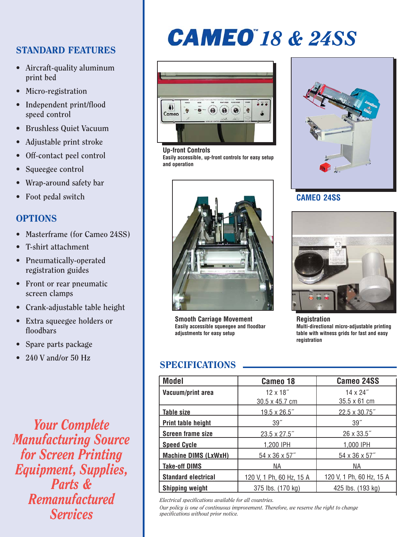#### STANDARD FEATURES

- **Aircraft-quality aluminum print bed**
- **Micro-registration**
- **Independent print/flood speed control**
- **Brushless Quiet Vacuum**
- **Adjustable print stroke**
- **Off-contact peel control**
- **Squeegee control**
- **Wrap-around safety bar**
- **Foot pedal switch**

### **OPTIONS**

- **Masterframe (for Cameo 24SS)**
- **T-shirt attachment**
- **Pneumatically-operated registration guides**
- **Front or rear pneumatic screen clamps**
- **Crank-adjustable table height**
- **Extra squeegee holders or floodbars**
- **Spare parts package**
- **240 V and/or 50 Hz**

*Your Complete Manufacturing Source for Screen Printing Equipment, Supplies, Parts & Remanufactured Services*

# **CAMEO** 18 & 24SS



**Up-front Controls Easily accessible, up-front controls for easy setup and operation**



**Smooth Carriage Movement Easily accessible squeegee and floodbar adjustments for easy setup**

### SPECIFICATIONS

| <b>Model</b>                | Cameo 18                 | <b>Cameo 24SS</b>        |
|-----------------------------|--------------------------|--------------------------|
| Vacuum/print area           | $12 \times 18$ "         | $14 \times 24$ "         |
|                             | 30.5 x 45.7 cm           | $35.5 \times 61$ cm      |
| Table size                  | $19.5 \times 26.5$ "     | 22.5 x 30.75"            |
| Print table height          | 39"                      | 39 <sup>7</sup>          |
| <b>Screen frame size</b>    | 23.5 x 27.5"             | 26 x 33.5"               |
| <b>Speed Cycle</b>          | 1,200 IPH                | 1,000 IPH                |
| <b>Machine DIMS (LxWxH)</b> | 54 x 36 x 57"            | 54 x 36 x 57"            |
| <b>Take-off DIMS</b>        | NА                       | NA.                      |
| <b>Standard electrical</b>  | 120 V, 1 Ph, 60 Hz, 15 A | 120 V, 1 Ph, 60 Hz, 15 A |
| <b>Shipping weight</b>      | 375 lbs. (170 kg)        | 425 lbs. (193 kg)        |

*Electrical specifications available for all countries.*

*Our policy is one of continuous improvement. Therefore, we reserve the right to change specifications without prior notice.*



**CAMEO 24SS**



**Registration Multi-directional micro-adjustable printing table with witness grids for fast and easy registration**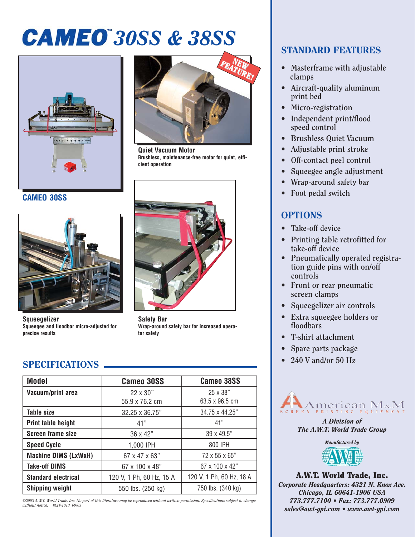# *30SS & 38SS*



**CAMEO 30SS**



**Squeegelizer Squeegee and floodbar micro-adjusted for precise results**



**Quiet Vacuum Motor Brushless, maintenance-free motor for quiet, efficient operation**



**Safety Bar Wrap-around safety bar for increased operator safety**

# SPECIFICATIONS

| <b>Model</b>                | <b>Cameo 30SS</b>                  | <b>Cameo 38SS</b>                 |
|-----------------------------|------------------------------------|-----------------------------------|
| Vacuum/print area           | $22 \times 30''$<br>55.9 x 76.2 cm | 25 x 38"<br>$63.5 \times 96.5$ cm |
| <b>Table size</b>           | 32.25 x 36.75"                     | 34.75 x 44.25"                    |
| Print table height          | 41"                                | 41"                               |
| <b>Screen frame size</b>    | $36 \times 42"$                    | 39 x 49.5"                        |
| <b>Speed Cycle</b>          | 1,000 IPH                          | 800 IPH                           |
| <b>Machine DIMS (LxWxH)</b> | $67 \times 47 \times 63"$          | $72 \times 55 \times 65$ "        |
| <b>Take-off DIMS</b>        | 67 x 100 x 48"                     | 67 x 100 x 42"                    |
| <b>Standard electrical</b>  | 120 V, 1 Ph, 60 Hz, 15 A           | 120 V, 1 Ph, 60 Hz, 18 A          |
| <b>Shipping weight</b>      | 550 lbs. (250 kg)                  | 750 lbs. (340 kg)                 |

*©2003 A.W.T. World Trade, Inc. No part of this literature may be reproduced without written permission. Specifications subject to change without notice. #LIT-1013 09/03*

### STANDARD FEATURES

- **Masterframe with adjustable clamps**
- **Aircraft-quality aluminum print bed**
- **Micro-registration**
- **Independent print/flood speed control**
- **Brushless Quiet Vacuum**
- **Adjustable print stroke**
- **Off-contact peel control**
- **Squeegee angle adjustment**
- **Wrap-around safety bar**
- **Foot pedal switch**

## **OPTIONS**

- **Take-off device**
- **Printing table retrofitted for take-off device**
- **Pneumatically operated registration guide pins with on/off controls**
- **Front or rear pneumatic screen clamps**
- **Squeegelizer air controls**
- **Extra squeegee holders or floodbars**
- **T-shirt attachment**
- **Spare parts package**
- **240 V and/or 50 Hz**



*A Division of The A.W.T. World Trade Group*



A.W.T. World Trade, Inc. *Corporate Headquarters: 4321 N. Knox Ave. Chicago, IL 60641-1906 USA 773.777.7100 • Fax: 773.777.0909 sales@awt-gpi.com • www.awt-gpi.com*